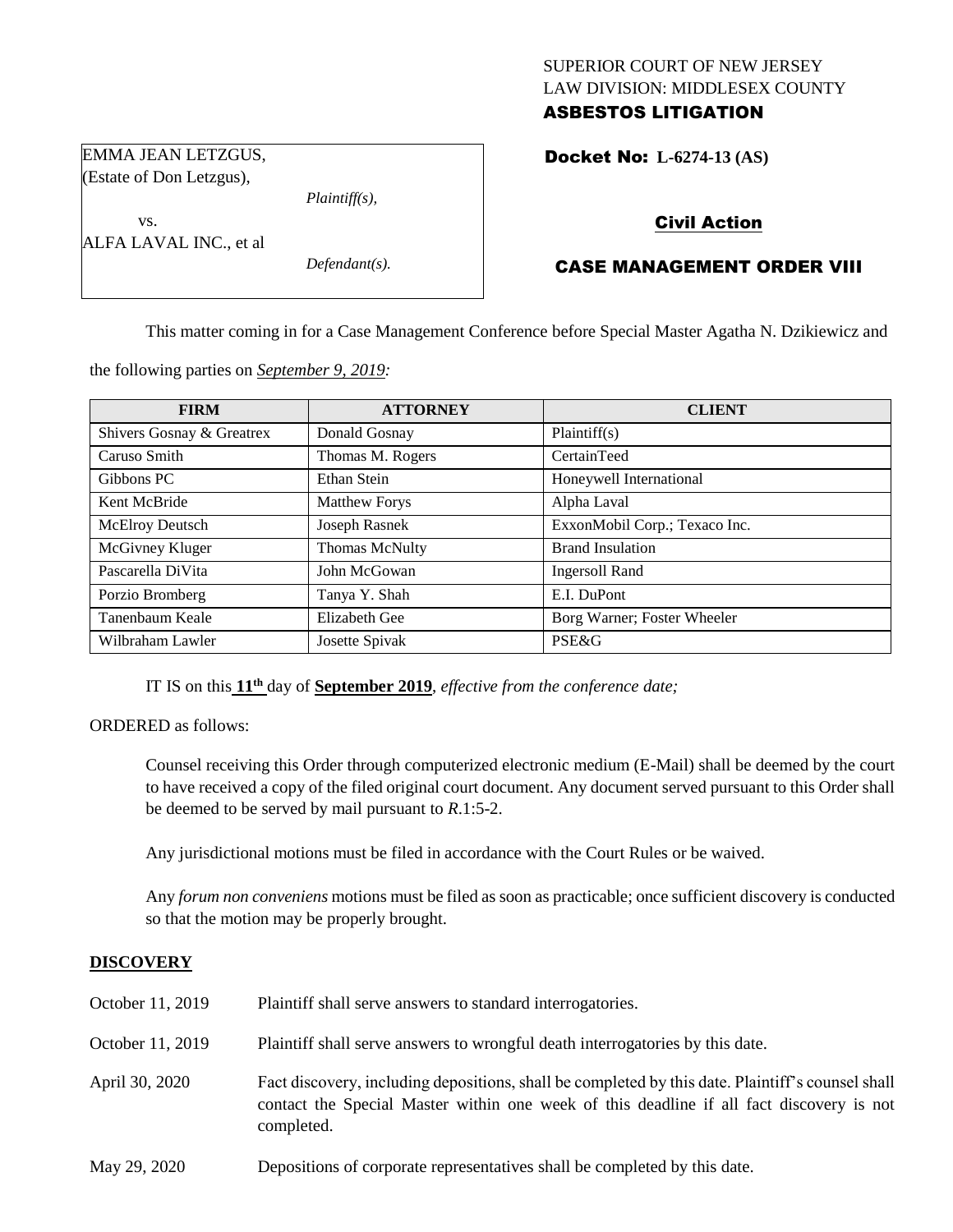## SUPERIOR COURT OF NEW JERSEY LAW DIVISION: MIDDLESEX COUNTY ASBESTOS LITIGATION

Docket No: **L-6274-13 (AS)** 

# Civil Action

# CASE MANAGEMENT ORDER VIII

This matter coming in for a Case Management Conference before Special Master Agatha N. Dzikiewicz and

the following parties on *September 9, 2019:*

| <b>FIRM</b>               | <b>ATTORNEY</b>       | <b>CLIENT</b>                 |
|---------------------------|-----------------------|-------------------------------|
| Shivers Gosnay & Greatrex | Donald Gosnay         | Plaintiff(s)                  |
| Caruso Smith              | Thomas M. Rogers      | CertainTeed                   |
| Gibbons PC                | Ethan Stein           | Honeywell International       |
| Kent McBride              | <b>Matthew Forys</b>  | Alpha Laval                   |
| McElroy Deutsch           | Joseph Rasnek         | ExxonMobil Corp.; Texaco Inc. |
| McGivney Kluger           | <b>Thomas McNulty</b> | <b>Brand Insulation</b>       |
| Pascarella DiVita         | John McGowan          | Ingersoll Rand                |
| Porzio Bromberg           | Tanya Y. Shah         | E.I. DuPont                   |
| Tanenbaum Keale           | Elizabeth Gee         | Borg Warner; Foster Wheeler   |
| Wilbraham Lawler          | Josette Spivak        | <b>PSE&amp;G</b>              |

IT IS on this **11 th** day of **September 2019**, *effective from the conference date;*

ORDERED as follows:

Counsel receiving this Order through computerized electronic medium (E-Mail) shall be deemed by the court to have received a copy of the filed original court document. Any document served pursuant to this Order shall be deemed to be served by mail pursuant to *R*.1:5-2.

Any jurisdictional motions must be filed in accordance with the Court Rules or be waived.

Any *forum non conveniens* motions must be filed as soon as practicable; once sufficient discovery is conducted so that the motion may be properly brought.

## **DISCOVERY**

| October 11, 2019 | Plaintiff shall serve answers to standard interrogatories.                                                                                                                                                  |
|------------------|-------------------------------------------------------------------------------------------------------------------------------------------------------------------------------------------------------------|
| October 11, 2019 | Plaintiff shall serve answers to wrongful death interrogatories by this date.                                                                                                                               |
| April 30, 2020   | Fact discovery, including depositions, shall be completed by this date. Plaintiff's counsel shall<br>contact the Special Master within one week of this deadline if all fact discovery is not<br>completed. |
| May 29, 2020     | Depositions of corporate representatives shall be completed by this date.                                                                                                                                   |

EMMA JEAN LETZGUS, (Estate of Don Letzgus),

*Plaintiff(s),*

*Defendant(s).*

vs.

ALFA LAVAL INC., et al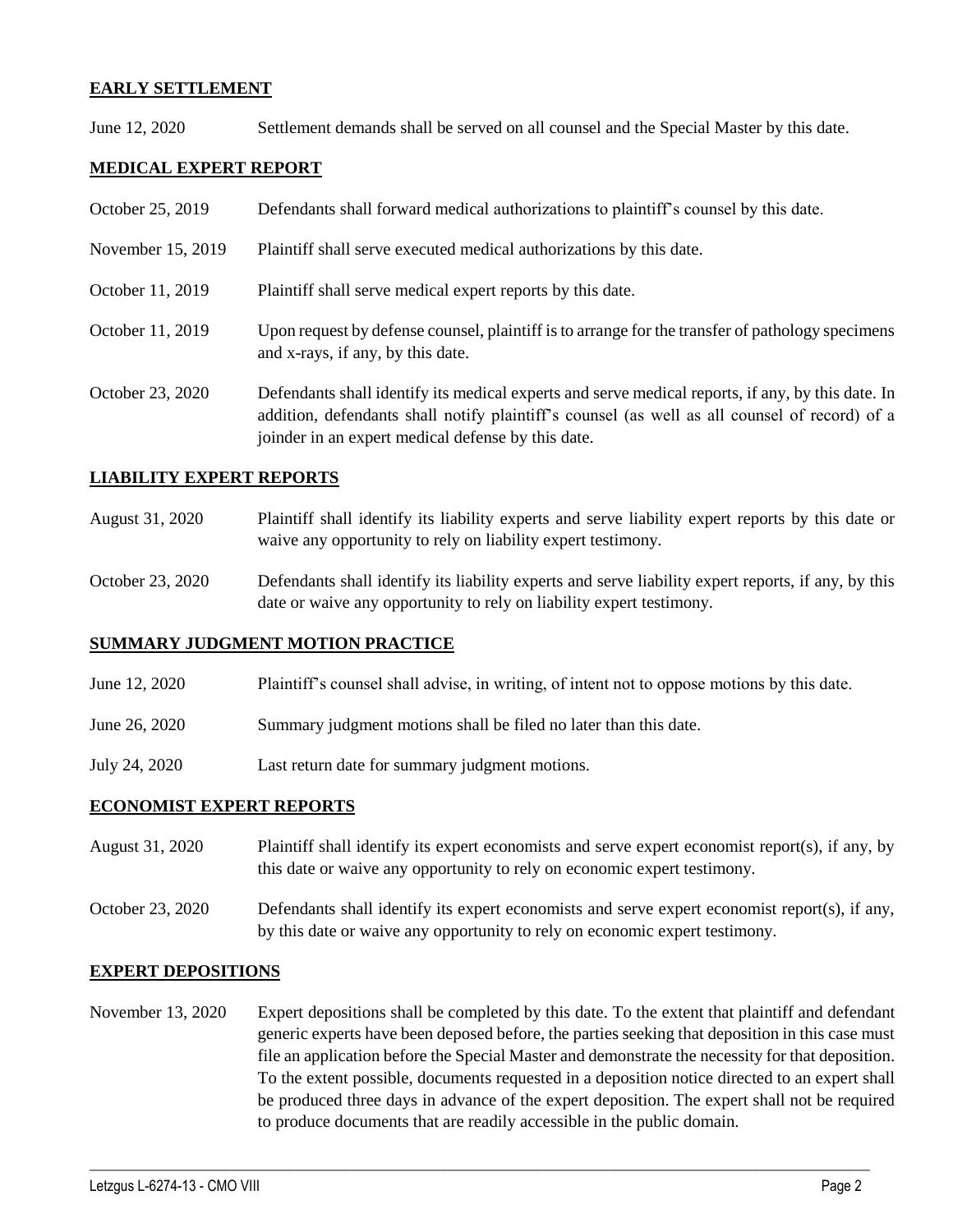### **EARLY SETTLEMENT**

June 12, 2020 Settlement demands shall be served on all counsel and the Special Master by this date.

## **MEDICAL EXPERT REPORT**

| October 25, 2019  | Defendants shall forward medical authorizations to plaintiff's counsel by this date.                                                                                                                                                                     |
|-------------------|----------------------------------------------------------------------------------------------------------------------------------------------------------------------------------------------------------------------------------------------------------|
| November 15, 2019 | Plaintiff shall serve executed medical authorizations by this date.                                                                                                                                                                                      |
| October 11, 2019  | Plaintiff shall serve medical expert reports by this date.                                                                                                                                                                                               |
| October 11, 2019  | Upon request by defense counsel, plaintiff is to arrange for the transfer of pathology specimens<br>and x-rays, if any, by this date.                                                                                                                    |
| October 23, 2020  | Defendants shall identify its medical experts and serve medical reports, if any, by this date. In<br>addition, defendants shall notify plaintiff's counsel (as well as all counsel of record) of a<br>joinder in an expert medical defense by this date. |

### **LIABILITY EXPERT REPORTS**

- August 31, 2020 Plaintiff shall identify its liability experts and serve liability expert reports by this date or waive any opportunity to rely on liability expert testimony.
- October 23, 2020 Defendants shall identify its liability experts and serve liability expert reports, if any, by this date or waive any opportunity to rely on liability expert testimony.

### **SUMMARY JUDGMENT MOTION PRACTICE**

- June 12, 2020 Plaintiff's counsel shall advise, in writing, of intent not to oppose motions by this date.
- June 26, 2020 Summary judgment motions shall be filed no later than this date.
- July 24, 2020 Last return date for summary judgment motions.

### **ECONOMIST EXPERT REPORTS**

- August 31, 2020 Plaintiff shall identify its expert economists and serve expert economist report(s), if any, by this date or waive any opportunity to rely on economic expert testimony.
- October 23, 2020 Defendants shall identify its expert economists and serve expert economist report(s), if any, by this date or waive any opportunity to rely on economic expert testimony.

### **EXPERT DEPOSITIONS**

November 13, 2020 Expert depositions shall be completed by this date. To the extent that plaintiff and defendant generic experts have been deposed before, the parties seeking that deposition in this case must file an application before the Special Master and demonstrate the necessity for that deposition. To the extent possible, documents requested in a deposition notice directed to an expert shall be produced three days in advance of the expert deposition. The expert shall not be required to produce documents that are readily accessible in the public domain.

 $\_$  , and the set of the set of the set of the set of the set of the set of the set of the set of the set of the set of the set of the set of the set of the set of the set of the set of the set of the set of the set of th